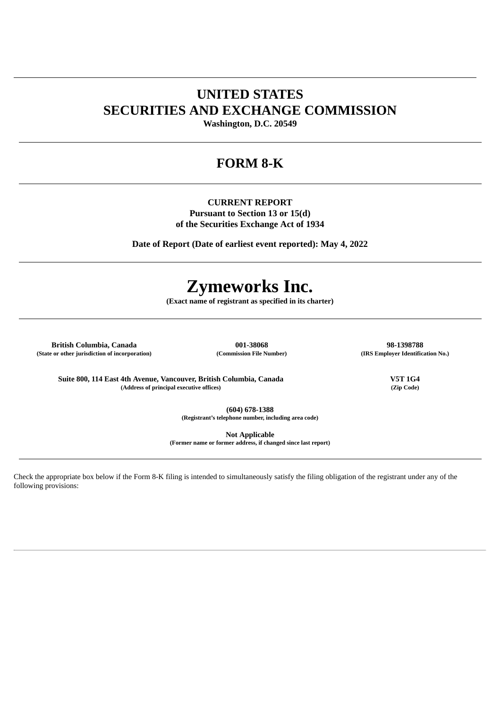# **UNITED STATES SECURITIES AND EXCHANGE COMMISSION**

**Washington, D.C. 20549**

# **FORM 8-K**

**CURRENT REPORT Pursuant to Section 13 or 15(d) of the Securities Exchange Act of 1934**

**Date of Report (Date of earliest event reported): May 4, 2022**

# **Zymeworks Inc.**

**(Exact name of registrant as specified in its charter)**

**British Columbia, Canada 001-38068 98-1398788 (State or other jurisdiction of incorporation) (Commission File Number) (IRS Employer Identification No.)**

**Suite 800, 114 East 4th Avenue, Vancouver, British Columbia, Canada V5T 1G4 (Address of principal executive offices) (Zip Code)**

**(604) 678-1388 (Registrant's telephone number, including area code)**

**Not Applicable**

**(Former name or former address, if changed since last report)**

Check the appropriate box below if the Form 8-K filing is intended to simultaneously satisfy the filing obligation of the registrant under any of the following provisions: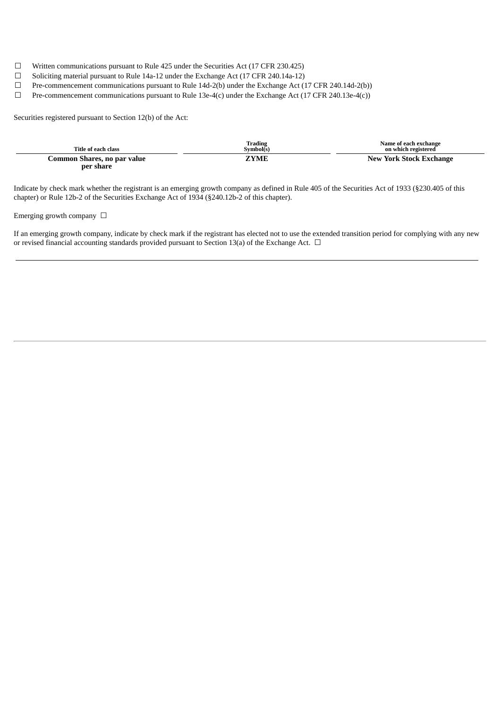- $\Box$  Written communications pursuant to Rule 425 under the Securities Act (17 CFR 230.425)
- ☐ Soliciting material pursuant to Rule 14a-12 under the Exchange Act (17 CFR 240.14a-12)
- ☐ Pre-commencement communications pursuant to Rule 14d-2(b) under the Exchange Act (17 CFR 240.14d-2(b))
- ☐ Pre-commencement communications pursuant to Rule 13e-4(c) under the Exchange Act (17 CFR 240.13e-4(c))

Securities registered pursuant to Section 12(b) of the Act:

| Title of each class                      | Trading<br>Symbol(s) | Name of each exchange<br>on which registered |
|------------------------------------------|----------------------|----------------------------------------------|
| Common Shares, no par value<br>per share | <b>ZYME</b>          | New York Stock Exchange                      |

Indicate by check mark whether the registrant is an emerging growth company as defined in Rule 405 of the Securities Act of 1933 (§230.405 of this chapter) or Rule 12b-2 of the Securities Exchange Act of 1934 (§240.12b-2 of this chapter).

# Emerging growth company  $\Box$

If an emerging growth company, indicate by check mark if the registrant has elected not to use the extended transition period for complying with any new or revised financial accounting standards provided pursuant to Section 13(a) of the Exchange Act.  $\Box$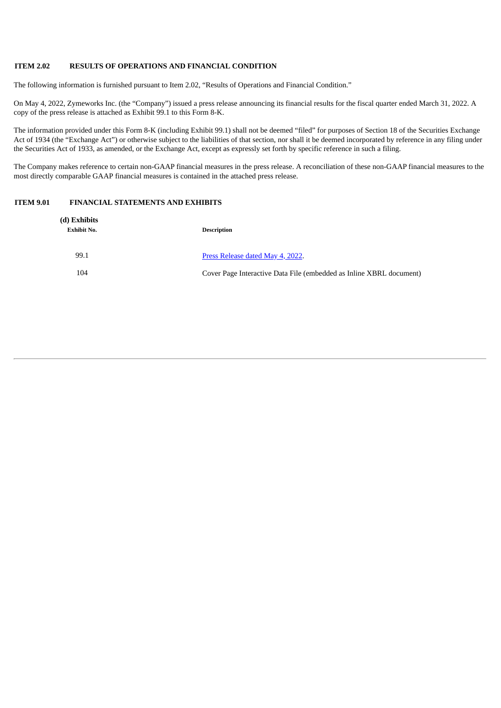#### **ITEM 2.02 RESULTS OF OPERATIONS AND FINANCIAL CONDITION**

The following information is furnished pursuant to Item 2.02, "Results of Operations and Financial Condition."

On May 4, 2022, Zymeworks Inc. (the "Company") issued a press release announcing its financial results for the fiscal quarter ended March 31, 2022. A copy of the press release is attached as Exhibit 99.1 to this Form 8-K.

The information provided under this Form 8-K (including Exhibit 99.1) shall not be deemed "filed" for purposes of Section 18 of the Securities Exchange Act of 1934 (the "Exchange Act") or otherwise subject to the liabilities of that section, nor shall it be deemed incorporated by reference in any filing under the Securities Act of 1933, as amended, or the Exchange Act, except as expressly set forth by specific reference in such a filing.

The Company makes reference to certain non-GAAP financial measures in the press release. A reconciliation of these non-GAAP financial measures to the most directly comparable GAAP financial measures is contained in the attached press release.

#### **ITEM 9.01 FINANCIAL STATEMENTS AND EXHIBITS**

| (d) Exhibits<br><b>Exhibit No.</b> | <b>Description</b>                                                  |
|------------------------------------|---------------------------------------------------------------------|
| 99.1                               | Press Release dated May 4, 2022.                                    |
| 104                                | Cover Page Interactive Data File (embedded as Inline XBRL document) |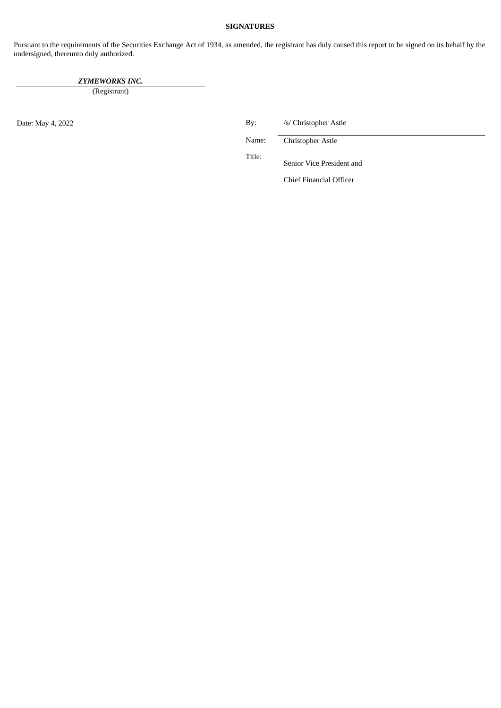#### **SIGNATURES**

Pursuant to the requirements of the Securities Exchange Act of 1934, as amended, the registrant has duly caused this report to be signed on its behalf by the undersigned, thereunto duly authorized.

*ZYMEWORKS INC.*

(Registrant)

Date: May 4, 2022 By: /s/ Christopher Astle

Name: Christopher Astle

Title:

Senior Vice President and

Chief Financial Officer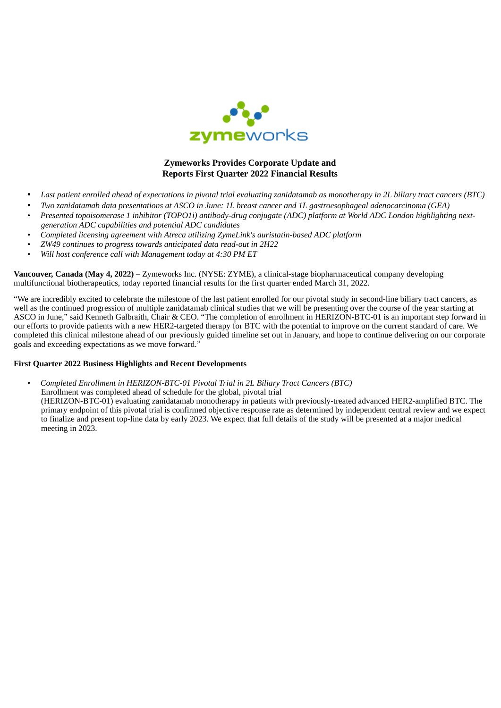

# **Zymeworks Provides Corporate Update and Reports First Quarter 2022 Financial Results**

- <span id="page-5-0"></span>Last patient enrolled ahead of expectations in pivotal trial evaluating zanidatamab as monotherapy in 2L biliary tract cancers (BTC)
- Two zanidatamab data presentations at ASCO in June: 1L breast cancer and 1L gastroesophageal adenocarcinoma (GEA)
- Presented topoisomerase 1 inhibitor (TOPO1i) antibody-drug conjugate (ADC) platform at World ADC London highlighting next*generation ADC capabilities and potential ADC candidates*
- *• Completed licensing agreement with Atreca utilizing ZymeLink's auristatin-based ADC platform*
- *• ZW49 continues to progress towards anticipated data read-out in 2H22*
- *• Will host conference call with Management today at 4:30 PM ET*

**Vancouver, Canada (May 4, 2022)** – Zymeworks Inc. (NYSE: ZYME), a clinical-stage biopharmaceutical company developing multifunctional biotherapeutics, today reported financial results for the first quarter ended March 31, 2022.

"We are incredibly excited to celebrate the milestone of the last patient enrolled for our pivotal study in second-line biliary tract cancers, as well as the continued progression of multiple zanidatamab clinical studies that we will be presenting over the course of the year starting at ASCO in June," said Kenneth Galbraith, Chair & CEO. "The completion of enrollment in HERIZON-BTC-01 is an important step forward in our efforts to provide patients with a new HER2-targeted therapy for BTC with the potential to improve on the current standard of care. We completed this clinical milestone ahead of our previously guided timeline set out in January, and hope to continue delivering on our corporate goals and exceeding expectations as we move forward."

# **First Quarter 2022 Business Highlights and Recent Developments**

*• Completed Enrollment in HERIZON-BTC-01 Pivotal Trial in 2L Biliary Tract Cancers (BTC)* Enrollment was completed ahead of schedule for the global, pivotal trial (HERIZON-BTC-01) evaluating zanidatamab monotherapy in patients with previously-treated advanced HER2-amplified BTC. The primary endpoint of this pivotal trial is confirmed objective response rate as determined by independent central review and we expect to finalize and present top-line data by early 2023. We expect that full details of the study will be presented at a major medical meeting in 2023.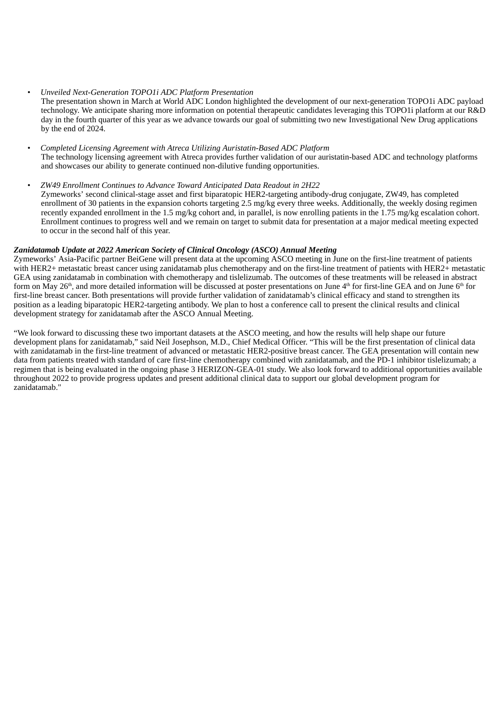## *• Unveiled Next-Generation TOPO1i ADC Platform Presentation*

The presentation shown in March at World ADC London highlighted the development of our next-generation TOPO1i ADC payload technology. We anticipate sharing more information on potential therapeutic candidates leveraging this TOPO1i platform at our R&D day in the fourth quarter of this year as we advance towards our goal of submitting two new Investigational New Drug applications by the end of 2024.

# *• Completed Licensing Agreement with Atreca Utilizing Auristatin-Based ADC Platform* The technology licensing agreement with Atreca provides further validation of our auristatin-based ADC and technology platforms and showcases our ability to generate continued non-dilutive funding opportunities.

# *• ZW49 Enrollment Continues to Advance Toward Anticipated Data Readout in 2H22*

Zymeworks' second clinical-stage asset and first biparatopic HER2-targeting antibody-drug conjugate, ZW49, has completed enrollment of 30 patients in the expansion cohorts targeting 2.5 mg/kg every three weeks. Additionally, the weekly dosing regimen recently expanded enrollment in the 1.5 mg/kg cohort and, in parallel, is now enrolling patients in the 1.75 mg/kg escalation cohort. Enrollment continues to progress well and we remain on target to submit data for presentation at a major medical meeting expected to occur in the second half of this year.

# *Zanidatamab Update at 2022 American Society of Clinical Oncology (ASCO) Annual Meeting*

Zymeworks' Asia-Pacific partner BeiGene will present data at the upcoming ASCO meeting in June on the first-line treatment of patients with HER2+ metastatic breast cancer using zanidatamab plus chemotherapy and on the first-line treatment of patients with HER2+ metastatic GEA using zanidatamab in combination with chemotherapy and tislelizumab. The outcomes of these treatments will be released in abstract form on May 26<sup>th</sup>, and more detailed information will be discussed at poster presentations on June 4<sup>th</sup> for first-line GEA and on June 6<sup>th</sup> for first-line breast cancer. Both presentations will provide further validation of zanidatamab's clinical efficacy and stand to strengthen its position as a leading biparatopic HER2-targeting antibody. We plan to host a conference call to present the clinical results and clinical development strategy for zanidatamab after the ASCO Annual Meeting.

"We look forward to discussing these two important datasets at the ASCO meeting, and how the results will help shape our future development plans for zanidatamab," said Neil Josephson, M.D., Chief Medical Officer. "This will be the first presentation of clinical data with zanidatamab in the first-line treatment of advanced or metastatic HER2-positive breast cancer. The GEA presentation will contain new data from patients treated with standard of care first-line chemotherapy combined with zanidatamab, and the PD-1 inhibitor tislelizumab; a regimen that is being evaluated in the ongoing phase 3 HERIZON-GEA-01 study. We also look forward to additional opportunities available throughout 2022 to provide progress updates and present additional clinical data to support our global development program for zanidatamab."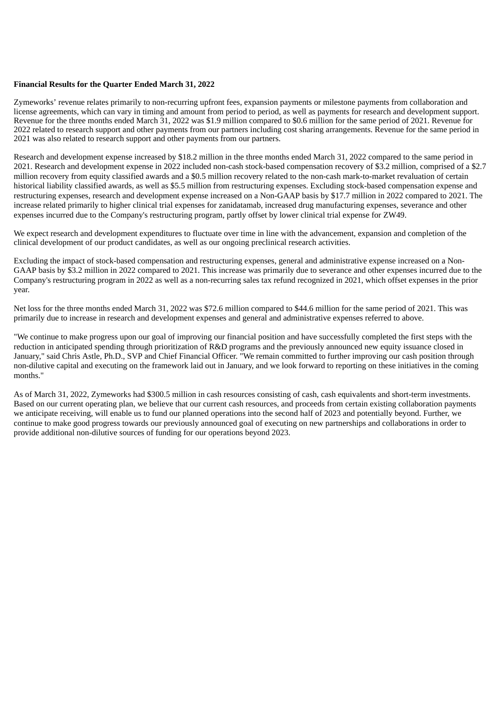## **Financial Results for the Quarter Ended March 31, 2022**

Zymeworks' revenue relates primarily to non-recurring upfront fees, expansion payments or milestone payments from collaboration and license agreements, which can vary in timing and amount from period to period, as well as payments for research and development support. Revenue for the three months ended March 31, 2022 was \$1.9 million compared to \$0.6 million for the same period of 2021. Revenue for 2022 related to research support and other payments from our partners including cost sharing arrangements. Revenue for the same period in 2021 was also related to research support and other payments from our partners.

Research and development expense increased by \$18.2 million in the three months ended March 31, 2022 compared to the same period in 2021. Research and development expense in 2022 included non-cash stock-based compensation recovery of \$3.2 million, comprised of a \$2.7 million recovery from equity classified awards and a \$0.5 million recovery related to the non-cash mark-to-market revaluation of certain historical liability classified awards, as well as \$5.5 million from restructuring expenses. Excluding stock-based compensation expense and restructuring expenses, research and development expense increased on a Non-GAAP basis by \$17.7 million in 2022 compared to 2021. The increase related primarily to higher clinical trial expenses for zanidatamab, increased drug manufacturing expenses, severance and other expenses incurred due to the Company's restructuring program, partly offset by lower clinical trial expense for ZW49.

We expect research and development expenditures to fluctuate over time in line with the advancement, expansion and completion of the clinical development of our product candidates, as well as our ongoing preclinical research activities.

Excluding the impact of stock-based compensation and restructuring expenses, general and administrative expense increased on a Non-GAAP basis by \$3.2 million in 2022 compared to 2021. This increase was primarily due to severance and other expenses incurred due to the Company's restructuring program in 2022 as well as a non-recurring sales tax refund recognized in 2021, which offset expenses in the prior year.

Net loss for the three months ended March 31, 2022 was \$72.6 million compared to \$44.6 million for the same period of 2021. This was primarily due to increase in research and development expenses and general and administrative expenses referred to above.

"We continue to make progress upon our goal of improving our financial position and have successfully completed the first steps with the reduction in anticipated spending through prioritization of R&D programs and the previously announced new equity issuance closed in January," said Chris Astle, Ph.D., SVP and Chief Financial Officer. "We remain committed to further improving our cash position through non-dilutive capital and executing on the framework laid out in January, and we look forward to reporting on these initiatives in the coming months."

As of March 31, 2022, Zymeworks had \$300.5 million in cash resources consisting of cash, cash equivalents and short-term investments. Based on our current operating plan, we believe that our current cash resources, and proceeds from certain existing collaboration payments we anticipate receiving, will enable us to fund our planned operations into the second half of 2023 and potentially beyond. Further, we continue to make good progress towards our previously announced goal of executing on new partnerships and collaborations in order to provide additional non-dilutive sources of funding for our operations beyond 2023.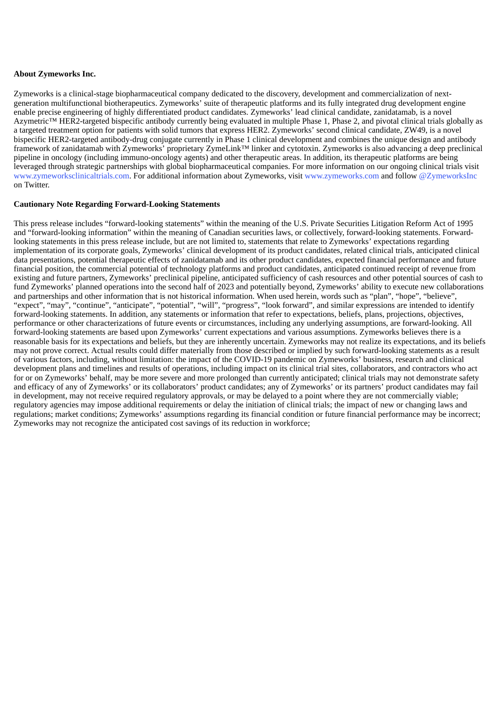# **About Zymeworks Inc.**

Zymeworks is a clinical-stage biopharmaceutical company dedicated to the discovery, development and commercialization of nextgeneration multifunctional biotherapeutics. Zymeworks' suite of therapeutic platforms and its fully integrated drug development engine enable precise engineering of highly differentiated product candidates. Zymeworks' lead clinical candidate, zanidatamab, is a novel Azymetric™ HER2-targeted bispecific antibody currently being evaluated in multiple Phase 1, Phase 2, and pivotal clinical trials globally as a targeted treatment option for patients with solid tumors that express HER2. Zymeworks' second clinical candidate, ZW49, is a novel bispecific HER2‑targeted antibody-drug conjugate currently in Phase 1 clinical development and combines the unique design and antibody framework of zanidatamab with Zymeworks' proprietary ZymeLink™ linker and cytotoxin. Zymeworks is also advancing a deep preclinical pipeline in oncology (including immuno-oncology agents) and other therapeutic areas. In addition, its therapeutic platforms are being leveraged through strategic partnerships with global biopharmaceutical companies. For more information on our ongoing clinical trials visit www.zymeworksclinicaltrials.com. For additional information about Zymeworks, visit www.zymeworks.com and follow @ZymeworksInc on Twitter.

## **Cautionary Note Regarding Forward-Looking Statements**

This press release includes "forward-looking statements" within the meaning of the U.S. Private Securities Litigation Reform Act of 1995 and "forward-looking information" within the meaning of Canadian securities laws, or collectively, forward-looking statements. Forwardlooking statements in this press release include, but are not limited to, statements that relate to Zymeworks' expectations regarding implementation of its corporate goals, Zymeworks' clinical development of its product candidates, related clinical trials, anticipated clinical data presentations, potential therapeutic effects of zanidatamab and its other product candidates, expected financial performance and future financial position, the commercial potential of technology platforms and product candidates, anticipated continued receipt of revenue from existing and future partners, Zymeworks' preclinical pipeline, anticipated sufficiency of cash resources and other potential sources of cash to fund Zymeworks' planned operations into the second half of 2023 and potentially beyond, Zymeworks' ability to execute new collaborations and partnerships and other information that is not historical information. When used herein, words such as "plan", "hope", "believe", "expect", "may", "continue", "anticipate", "potential", "will", "progress", "look forward", and similar expressions are intended to identify forward-looking statements. In addition, any statements or information that refer to expectations, beliefs, plans, projections, objectives, performance or other characterizations of future events or circumstances, including any underlying assumptions, are forward-looking. All forward-looking statements are based upon Zymeworks' current expectations and various assumptions. Zymeworks believes there is a reasonable basis for its expectations and beliefs, but they are inherently uncertain. Zymeworks may not realize its expectations, and its beliefs may not prove correct. Actual results could differ materially from those described or implied by such forward-looking statements as a result of various factors, including, without limitation: the impact of the COVID-19 pandemic on Zymeworks' business, research and clinical development plans and timelines and results of operations, including impact on its clinical trial sites, collaborators, and contractors who act for or on Zymeworks' behalf, may be more severe and more prolonged than currently anticipated; clinical trials may not demonstrate safety and efficacy of any of Zymeworks' or its collaborators' product candidates; any of Zymeworks' or its partners' product candidates may fail in development, may not receive required regulatory approvals, or may be delayed to a point where they are not commercially viable; regulatory agencies may impose additional requirements or delay the initiation of clinical trials; the impact of new or changing laws and regulations; market conditions; Zymeworks' assumptions regarding its financial condition or future financial performance may be incorrect; Zymeworks may not recognize the anticipated cost savings of its reduction in workforce;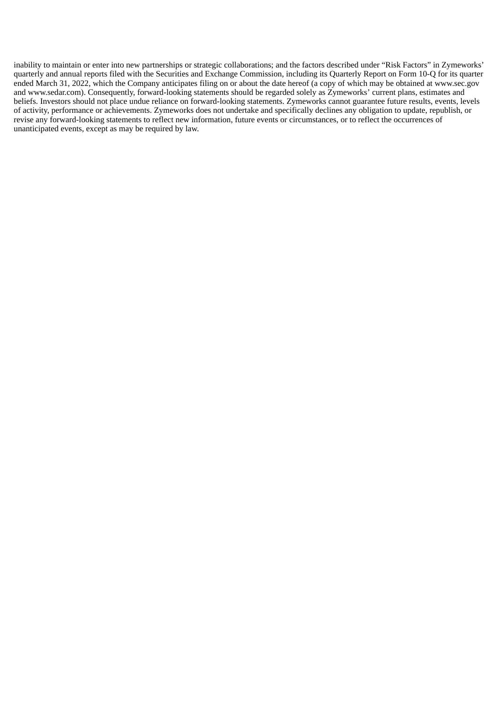inability to maintain or enter into new partnerships or strategic collaborations; and the factors described under "Risk Factors" in Zymeworks' quarterly and annual reports filed with the Securities and Exchange Commission, including its Quarterly Report on Form 10-Q for its quarter ended March 31, 2022, which the Company anticipates filing on or about the date hereof (a copy of which may be obtained at www.sec.gov and www.sedar.com). Consequently, forward-looking statements should be regarded solely as Zymeworks' current plans, estimates and beliefs. Investors should not place undue reliance on forward-looking statements. Zymeworks cannot guarantee future results, events, levels of activity, performance or achievements. Zymeworks does not undertake and specifically declines any obligation to update, republish, or revise any forward-looking statements to reflect new information, future events or circumstances, or to reflect the occurrences of unanticipated events, except as may be required by law.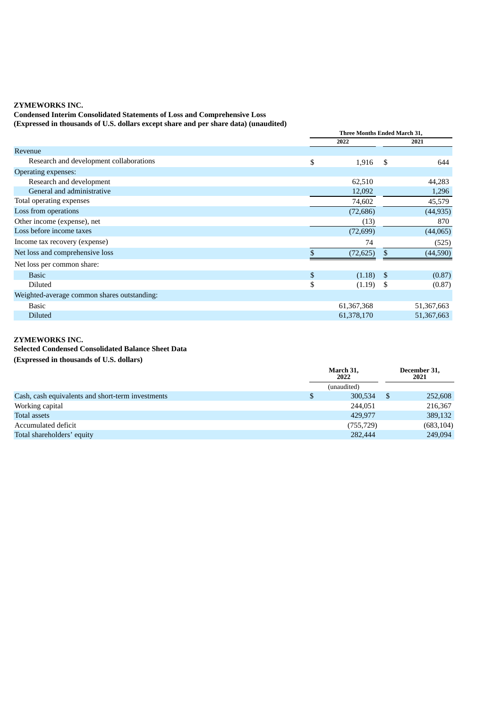# **ZYMEWORKS INC.**

**Condensed Interim Consolidated Statements of Loss and Comprehensive Loss (Expressed in thousands of U.S. dollars except share and per share data) (unaudited)**

|                                             | Three Months Ended March 31, |     |            |  |
|---------------------------------------------|------------------------------|-----|------------|--|
|                                             | 2022                         |     | 2021       |  |
| Revenue                                     |                              |     |            |  |
| Research and development collaborations     | \$<br>1,916                  | \$  | 644        |  |
| <b>Operating expenses:</b>                  |                              |     |            |  |
| Research and development                    | 62,510                       |     | 44,283     |  |
| General and administrative                  | 12,092                       |     | 1,296      |  |
| Total operating expenses                    | 74,602                       |     | 45,579     |  |
| Loss from operations                        | (72, 686)                    |     | (44, 935)  |  |
| Other income (expense), net                 | (13)                         |     | 870        |  |
| Loss before income taxes                    | (72, 699)                    |     | (44, 065)  |  |
| Income tax recovery (expense)               | 74                           |     | (525)      |  |
| Net loss and comprehensive loss             | (72, 625)                    | \$. | (44,590)   |  |
| Net loss per common share:                  |                              |     |            |  |
| <b>Basic</b>                                | \$<br>(1.18)                 | -\$ | (0.87)     |  |
| Diluted                                     | \$<br>(1.19)                 | \$  | (0.87)     |  |
| Weighted-average common shares outstanding: |                              |     |            |  |
| <b>Basic</b>                                | 61,367,368                   |     | 51,367,663 |  |
| <b>Diluted</b>                              | 61,378,170                   |     | 51,367,663 |  |

# **ZYMEWORKS INC.**

**Selected Condensed Consolidated Balance Sheet Data**

**(Expressed in thousands of U.S. dollars)**

|                                                   |   | March 31,<br>2022 |  | December 31,<br>2021 |  |
|---------------------------------------------------|---|-------------------|--|----------------------|--|
|                                                   |   | (unaudited)       |  |                      |  |
| Cash, cash equivalents and short-term investments | S | 300,534           |  | 252,608              |  |
| Working capital                                   |   | 244.051           |  | 216,367              |  |
| Total assets                                      |   | 429.977           |  | 389,132              |  |
| Accumulated deficit                               |   | (755, 729)        |  | (683, 104)           |  |
| Total shareholders' equity                        |   | 282,444           |  | 249,094              |  |
|                                                   |   |                   |  |                      |  |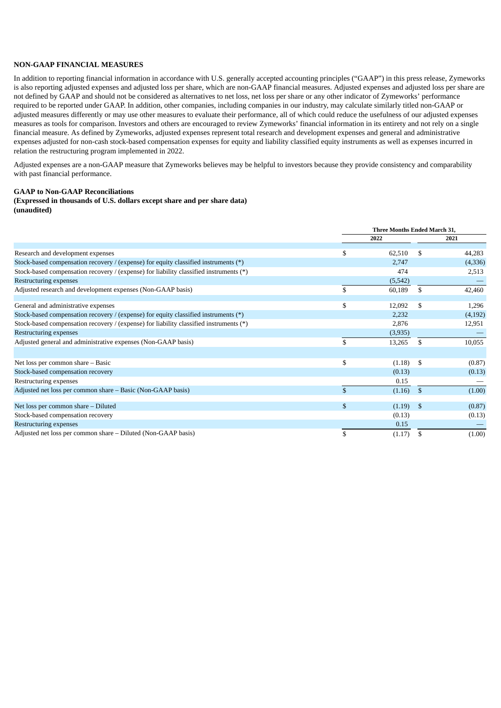# **NON-GAAP FINANCIAL MEASURES**

In addition to reporting financial information in accordance with U.S. generally accepted accounting principles ("GAAP") in this press release, Zymeworks is also reporting adjusted expenses and adjusted loss per share, which are non-GAAP financial measures. Adjusted expenses and adjusted loss per share are not defined by GAAP and should not be considered as alternatives to net loss, net loss per share or any other indicator of Zymeworks' performance required to be reported under GAAP. In addition, other companies, including companies in our industry, may calculate similarly titled non-GAAP or adjusted measures differently or may use other measures to evaluate their performance, all of which could reduce the usefulness of our adjusted expenses measures as tools for comparison. Investors and others are encouraged to review Zymeworks' financial information in its entirety and not rely on a single financial measure. As defined by Zymeworks, adjusted expenses represent total research and development expenses and general and administrative expenses adjusted for non-cash stock-based compensation expenses for equity and liability classified equity instruments as well as expenses incurred in relation the restructuring program implemented in 2022.

Adjusted expenses are a non-GAAP measure that Zymeworks believes may be helpful to investors because they provide consistency and comparability with past financial performance.

# **GAAP to Non-GAAP Reconciliations**

#### **(Expressed in thousands of U.S. dollars except share and per share data) (unaudited)**

|                                                                                        |              | <b>Three Months Ended March 31.</b> |     |         |
|----------------------------------------------------------------------------------------|--------------|-------------------------------------|-----|---------|
|                                                                                        |              | 2022                                |     | 2021    |
|                                                                                        |              |                                     |     |         |
| Research and development expenses                                                      | \$.          | 62,510                              | \$. | 44,283  |
| Stock-based compensation recovery / (expense) for equity classified instruments (*)    |              | 2,747                               |     | (4,336) |
| Stock-based compensation recovery / (expense) for liability classified instruments (*) |              | 474                                 |     | 2,513   |
| Restructuring expenses                                                                 |              | (5, 542)                            |     |         |
| Adjusted research and development expenses (Non-GAAP basis)                            | \$           | 60,189                              | \$  | 42,460  |
| General and administrative expenses                                                    | \$           | 12,092                              | \$  | 1,296   |
| Stock-based compensation recovery / (expense) for equity classified instruments (*)    |              | 2,232                               |     | (4,192) |
| Stock-based compensation recovery / (expense) for liability classified instruments (*) |              | 2,876                               |     | 12,951  |
| Restructuring expenses                                                                 |              | (3,935)                             |     |         |
| Adjusted general and administrative expenses (Non-GAAP basis)                          | \$           | 13,265                              | \$  | 10,055  |
|                                                                                        |              |                                     |     |         |
| Net loss per common share - Basic                                                      | \$           | (1.18)                              | \$  | (0.87)  |
| Stock-based compensation recovery                                                      |              | (0.13)                              |     | (0.13)  |
| Restructuring expenses                                                                 |              | 0.15                                |     |         |
| Adjusted net loss per common share - Basic (Non-GAAP basis)                            | \$           | (1.16)                              | \$  | (1.00)  |
| Net loss per common share - Diluted                                                    | $\mathbb{S}$ | (1.19)                              | \$  | (0.87)  |
| Stock-based compensation recovery                                                      |              | (0.13)                              |     | (0.13)  |
| Restructuring expenses                                                                 |              | 0.15                                |     |         |
| Adjusted net loss per common share – Diluted (Non-GAAP basis)                          | \$           | (1.17)                              | \$  | (1.00)  |